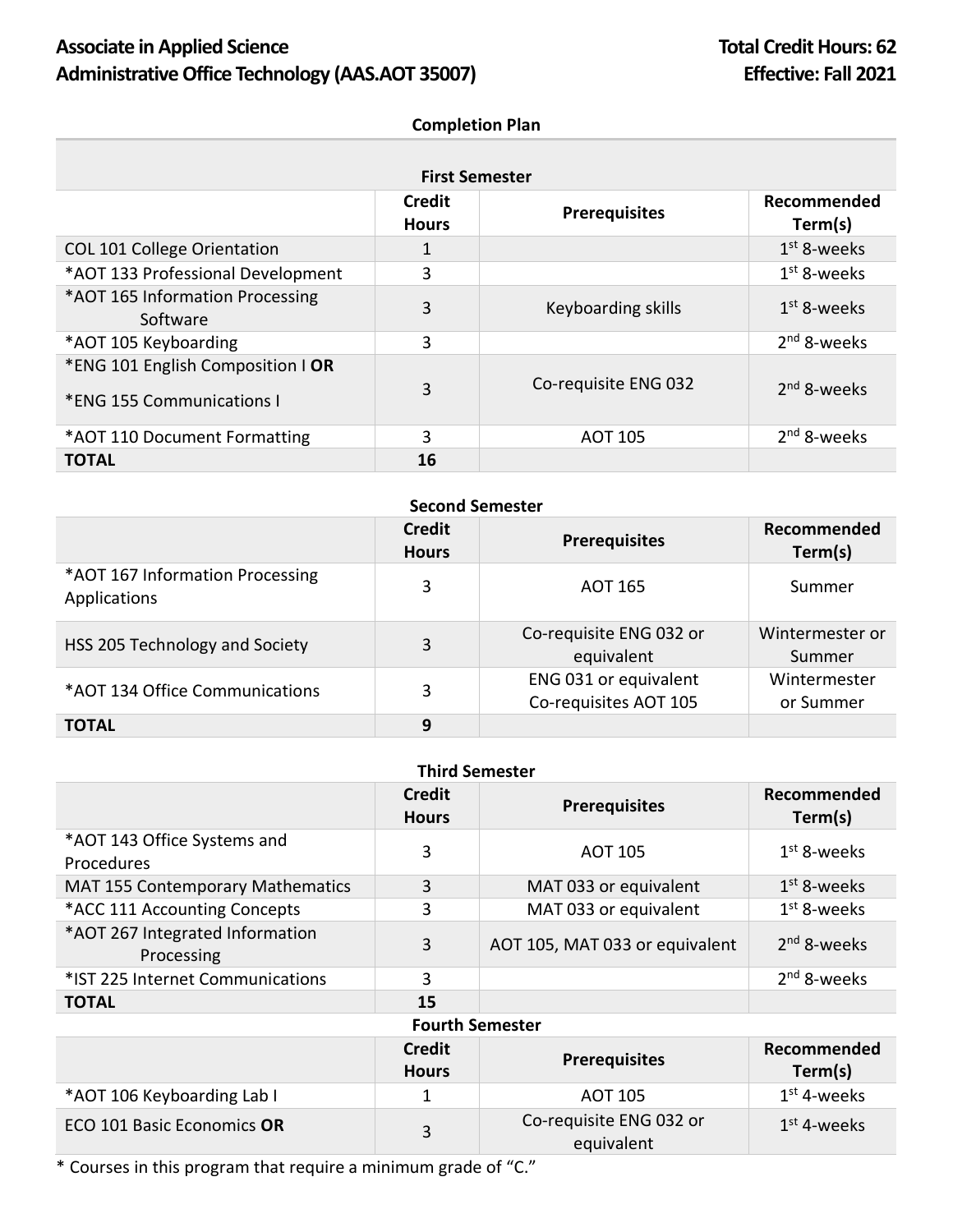# Associate in Applied Science **Total Credit Hours: 62** Administrative Office Technology (AAS.AOT 35007) **Effective: Fall 2021**

### **Completion Plan**

| <b>First Semester</b>                                          |                        |                      |                        |
|----------------------------------------------------------------|------------------------|----------------------|------------------------|
|                                                                | Credit<br><b>Hours</b> | <b>Prerequisites</b> | Recommended<br>Term(s) |
| <b>COL 101 College Orientation</b>                             | 1                      |                      | $1st$ 8-weeks          |
| *AOT 133 Professional Development                              | 3                      |                      | $1st$ 8-weeks          |
| *AOT 165 Information Processing<br>Software                    | 3                      | Keyboarding skills   | $1st$ 8-weeks          |
| *AOT 105 Keyboarding                                           | 3                      |                      | $2nd$ 8-weeks          |
| *ENG 101 English Composition   OR<br>*ENG 155 Communications I | 3                      | Co-requisite ENG 032 | $2nd$ 8-weeks          |
| *AOT 110 Document Formatting                                   | 3                      | <b>AOT 105</b>       | $2nd$ 8-weeks          |
| <b>TOTAL</b>                                                   | 16                     |                      |                        |

| <b>Second Semester</b>                          |                               |                                                |                           |
|-------------------------------------------------|-------------------------------|------------------------------------------------|---------------------------|
|                                                 | <b>Credit</b><br><b>Hours</b> | <b>Prerequisites</b>                           | Recommended<br>Term(s)    |
| *AOT 167 Information Processing<br>Applications | 3                             | AOT 165                                        | Summer                    |
| HSS 205 Technology and Society                  | 3                             | Co-requisite ENG 032 or<br>equivalent          | Wintermester or<br>Summer |
| *AOT 134 Office Communications                  | 3                             | ENG 031 or equivalent<br>Co-requisites AOT 105 | Wintermester<br>or Summer |
| <b>TOTAL</b>                                    | 9                             |                                                |                           |

| <b>Third Semester</b>                         |                               |                                |                         |
|-----------------------------------------------|-------------------------------|--------------------------------|-------------------------|
|                                               | <b>Credit</b><br><b>Hours</b> | <b>Prerequisites</b>           | Recommended<br>Term(s)  |
| *AOT 143 Office Systems and<br>Procedures     | 3                             | <b>AOT 105</b>                 | $1st$ 8-weeks           |
| <b>MAT 155 Contemporary Mathematics</b>       | 3                             | MAT 033 or equivalent          | $1st$ 8-weeks           |
| *ACC 111 Accounting Concepts                  | 3                             | MAT 033 or equivalent          | $1st$ 8-weeks           |
| *AOT 267 Integrated Information<br>Processing | 3                             | AOT 105, MAT 033 or equivalent | 2 <sup>nd</sup> 8-weeks |
| *IST 225 Internet Communications              | 3                             |                                | $2nd$ 8-weeks           |
| <b>TOTAL</b>                                  | 15                            |                                |                         |
| <b>Fourth Semester</b>                        |                               |                                |                         |

#### **Credit Hours Prerequisites Recommended Term(s)** \*AOT 106 Keyboarding Lab I 1 1 AOT 105  $1<sup>st</sup>$  4-weeks ECO 101 Basic Economics OR 3 Co-requisite ENG 032 or equivalent 1 st 4-weeks

\* Courses in this program that require a minimum grade of "C."